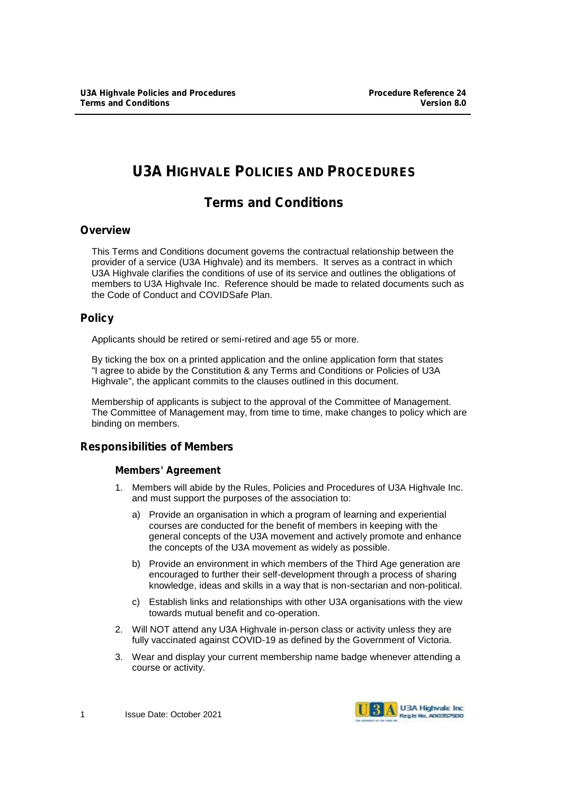# **U3A HIGHVALE POLICIES AND PROCEDURES**

# **Terms and Conditions**

### **Overview**

This Terms and Conditions document governs the contractual relationship between the provider of a service (U3A Highvale) and its members. It serves as a contract in which U3A Highvale clarifies the conditions of use of its service and outlines the obligations of members to U3A Highvale Inc. Reference should be made to related documents such as the Code of Conduct and COVIDSafe Plan.

## **Policy**

Applicants should be retired or semi-retired and age 55 or more.

By ticking the box on a printed application and the online application form that states "I agree to abide by the Constitution & any Terms and Conditions or Policies of U3A Highvale", the applicant commits to the clauses outlined in this document.

Membership of applicants is subject to the approval of the Committee of Management. The Committee of Management may, from time to time, make changes to policy which are binding on members.

## **Responsibilities of Members**

### **Members' Agreement**

- 1. Members will abide by the Rules, Policies and Procedures of U3A Highvale Inc. and must support the purposes of the association to:
	- a) Provide an organisation in which a program of learning and experiential courses are conducted for the benefit of members in keeping with the general concepts of the U3A movement and actively promote and enhance the concepts of the U3A movement as widely as possible.
	- b) Provide an environment in which members of the Third Age generation are encouraged to further their self-development through a process of sharing knowledge, ideas and skills in a way that is non-sectarian and non-political.
	- c) Establish links and relationships with other U3A organisations with the view towards mutual benefit and co-operation.
- 2. Will NOT attend any U3A Highvale in-person class or activity unless they are fully vaccinated against COVID-19 as defined by the Government of Victoria.
- 3. Wear and display your current membership name badge whenever attending a course or activity.